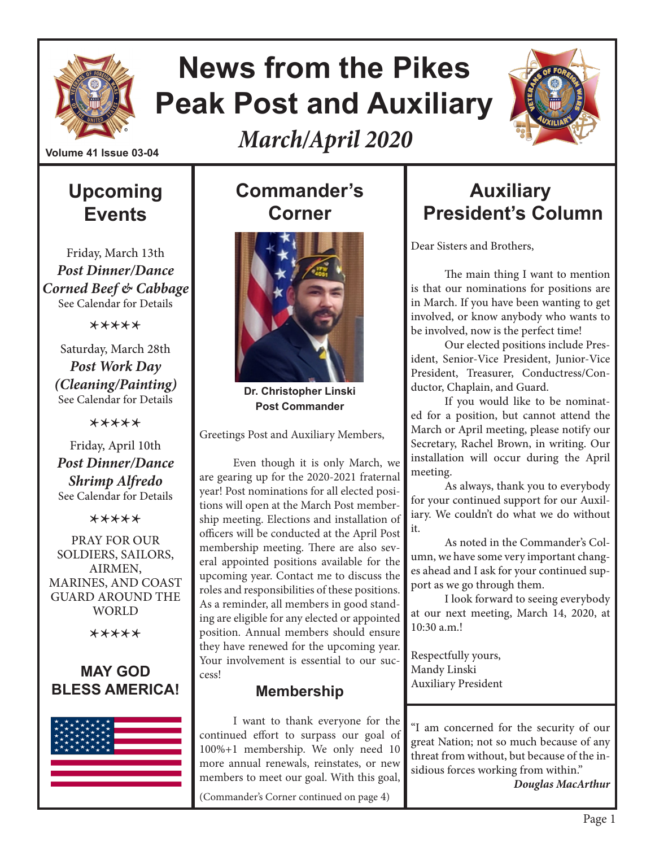

## **News from the Pikes Peak Post and Auxiliary**

*March/April 2020*



#### **Volume 41 Issue 03-04**

## **Upcoming Events**

Friday, March 13th *Post Dinner/Dance Corned Beef & Cabbage* See Calendar for Details

\*\*\*\*\*

Saturday, March 28th *Post Work Day (Cleaning/Painting)* See Calendar for Details

\*\*\*\*\*

Friday, April 10th *Post Dinner/Dance Shrimp Alfredo* See Calendar for Details

\*\*\*\*\*

PRAY FOR OUR SOLDIERS, SAILORS, AIRMEN, MARINES, AND COAST GUARD AROUND THE **WORLD** 

\*\*\*\*\*

#### **MAY GOD BLESS AMERICA!**



## **Commander's Corner**



**Dr. Christopher Linski Post Commander**

Greetings Post and Auxiliary Members,

Even though it is only March, we are gearing up for the 2020-2021 fraternal year! Post nominations for all elected positions will open at the March Post membership meeting. Elections and installation of officers will be conducted at the April Post membership meeting. There are also several appointed positions available for the upcoming year. Contact me to discuss the roles and responsibilities of these positions. As a reminder, all members in good standing are eligible for any elected or appointed position. Annual members should ensure they have renewed for the upcoming year. Your involvement is essential to our success!

#### **Membership**

I want to thank everyone for the continued effort to surpass our goal of 100%+1 membership. We only need 10 more annual renewals, reinstates, or new members to meet our goal. With this goal, (Commander's Corner continued on page 4)

## **Auxiliary President's Column**

Dear Sisters and Brothers,

The main thing I want to mention is that our nominations for positions are in March. If you have been wanting to get involved, or know anybody who wants to be involved, now is the perfect time!

Our elected positions include President, Senior-Vice President, Junior-Vice President, Treasurer, Conductress/Conductor, Chaplain, and Guard.

If you would like to be nominated for a position, but cannot attend the March or April meeting, please notify our Secretary, Rachel Brown, in writing. Our installation will occur during the April meeting.

As always, thank you to everybody for your continued support for our Auxiliary. We couldn't do what we do without it.

As noted in the Commander's Column, we have some very important changes ahead and I ask for your continued support as we go through them.

I look forward to seeing everybody at our next meeting, March 14, 2020, at 10:30 a.m.!

Respectfully yours, Mandy Linski Auxiliary President

"I am concerned for the security of our great Nation; not so much because of any threat from without, but because of the insidious forces working from within."

*Douglas MacArthur*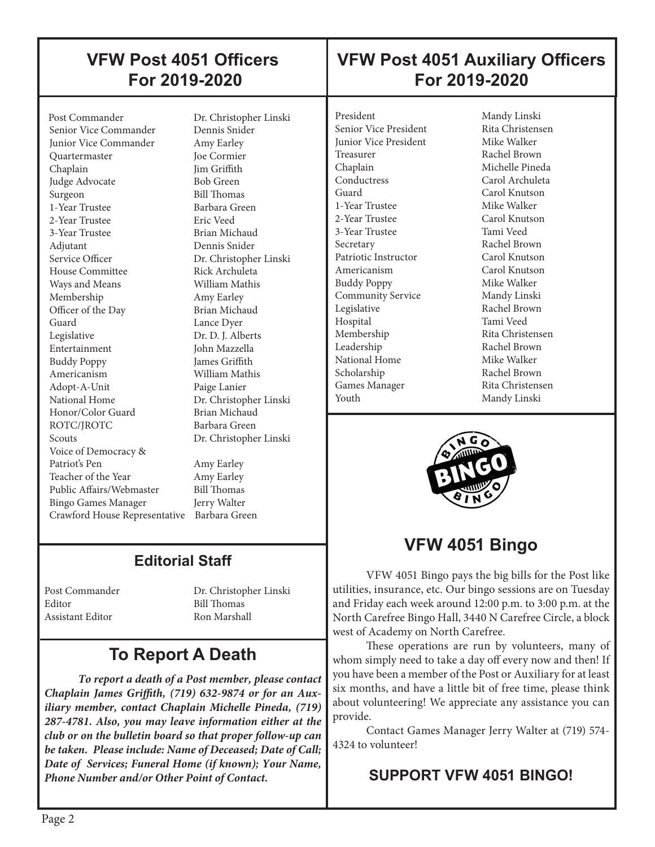## **VFW Post 4051 Officers For 2019-2020**

## **VFW Post 4051 Auxiliary Officers For 2019-2020**

Post Commander Dr. Christopher Linski<br>Senior Vice Commander Dennis Snider Senior Vice Commander Junior Vice Commander Amy Earley Quartermaster Joe Cormier Chaplain Jim Griffith Judge Advocate Bob Green Surgeon Bill Thomas 1-Year Trustee Barbara Green 2-Year Trustee Eric Veed 3-Year Trustee Brian Michaud Adjutant Dennis Snider Service Officer Dr. Christopher Linski House Committee Rick Archuleta Ways and Means **William Mathis**  Membership Amy Earley Officer of the Day Brian Michaud<br>Guard Lance Dver Legislative Dr. D. J. Alberts Entertainment John Mazzella Buddy Poppy James Griffith Americanism William Mathis Adopt-A-Unit Paige Lanier National Home Dr. Christopher Linski<br>Honor/Color Guard Brian Michaud Honor/Color Guard ROTC/IROTC Barbara Green Scouts Dr. Christopher Linski Voice of Democracy & Patriot's Pen Amy Earley Teacher of the Year Amy Earley Public Affairs/Webmaster Bill Thomas Bingo Games Manager Jerry Walter Crawford House Representative Barbara Green

 $\overline{\phantom{a}}$ 

Lance Dyer

#### **Editorial Staff**

Editor Bill Thomas Assistant Editor Ron Marshall

Post Commander Dr. Christopher Linski

## **To Report A Death**

*To report a death of a Post member, please contact Chaplain James Griffith, (719) 632-9874 or for an Auxiliary member, contact Chaplain Michelle Pineda, (719) 287-4781. Also, you may leave information either at the club or on the bulletin board so that proper follow-up can be taken. Please include: Name of Deceased; Date of Call; Date of Services; Funeral Home (if known); Your Name, Phone Number and/or Other Point of Contact.*

President Mandy Linski Senior Vice President Rita Christensen **Junior Vice President Mike Walker** Treasurer Rachel Brown Chaplain Michelle Pineda<br>
Conductress Carol Archuleta Guard Carol Knutson 1-Year Trustee Mike Walker 2-Year Trustee Carol Knutson 3-Year Trustee Tami Veed Secretary Rachel Brown Patriotic Instructor Carol Knutson Americanism Carol Knutson Buddy Poppy Mike Walker Community Service Mandy Linski Legislative Rachel Brown Hospital Tami Veed Membership Rita Christensen Leadership Rachel Brown National Home Mike Walker Scholarship Rachel Brown Games Manager Rita Christensen Youth Mandy Linski

┠

┞ I Carol Archuleta



## **VFW 4051 Bingo**

VFW 4051 Bingo pays the big bills for the Post like utilities, insurance, etc. Our bingo sessions are on Tuesday and Friday each week around 12:00 p.m. to 3:00 p.m. at the North Carefree Bingo Hall, 3440 N Carefree Circle, a block west of Academy on North Carefree.

These operations are run by volunteers, many of whom simply need to take a day off every now and then! If you have been a member of the Post or Auxiliary for at least six months, and have a little bit of free time, please think about volunteering! We appreciate any assistance you can provide.

Contact Games Manager Jerry Walter at (719) 574- 4324 to volunteer!

#### **SUPPORT VFW 4051 BINGO!**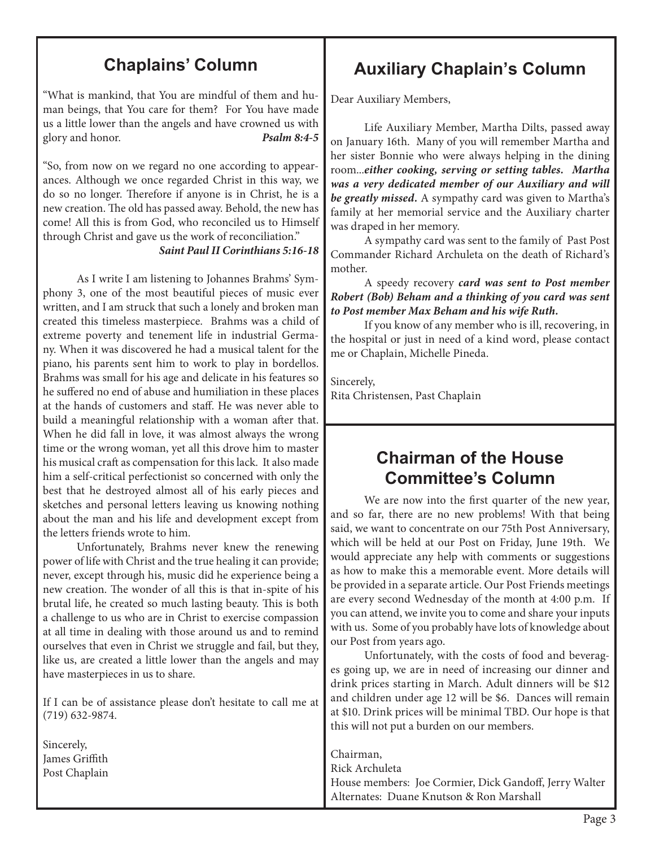## **Chaplains' Column**

"What is mankind, that You are mindful of them and human beings, that You care for them? For You have made us a little lower than the angels and have crowned us with glory and honor. *Psalm 8:4-5*

"So, from now on we regard no one according to appearances. Although we once regarded Christ in this way, we do so no longer. Therefore if anyone is in Christ, he is a new creation. The old has passed away. Behold, the new has come! All this is from God, who reconciled us to Himself through Christ and gave us the work of reconciliation."

*Saint Paul II Corinthians 5:16-18* 

As I write I am listening to Johannes Brahms' Symphony 3, one of the most beautiful pieces of music ever written, and I am struck that such a lonely and broken man created this timeless masterpiece. Brahms was a child of extreme poverty and tenement life in industrial Germany. When it was discovered he had a musical talent for the piano, his parents sent him to work to play in bordellos. Brahms was small for his age and delicate in his features so he suffered no end of abuse and humiliation in these places at the hands of customers and staff. He was never able to build a meaningful relationship with a woman after that. When he did fall in love, it was almost always the wrong time or the wrong woman, yet all this drove him to master his musical craft as compensation for this lack. It also made him a self-critical perfectionist so concerned with only the best that he destroyed almost all of his early pieces and sketches and personal letters leaving us knowing nothing about the man and his life and development except from the letters friends wrote to him.

Unfortunately, Brahms never knew the renewing power of life with Christ and the true healing it can provide; never, except through his, music did he experience being a new creation. The wonder of all this is that in-spite of his brutal life, he created so much lasting beauty. This is both a challenge to us who are in Christ to exercise compassion at all time in dealing with those around us and to remind ourselves that even in Christ we struggle and fail, but they, like us, are created a little lower than the angels and may have masterpieces in us to share.

If I can be of assistance please don't hesitate to call me at (719) 632-9874.

Sincerely, James Griffith Post Chaplain

## **Auxiliary Chaplain's Column**

Dear Auxiliary Members,

 Life Auxiliary Member, Martha Dilts, passed away on January 16th. Many of you will remember Martha and her sister Bonnie who were always helping in the dining room...*either cooking, serving or setting tables. Martha was a very dedicated member of our Auxiliary and will be greatly missed.* A sympathy card was given to Martha's family at her memorial service and the Auxiliary charter was draped in her memory.

A sympathy card was sent to the family of Past Post Commander Richard Archuleta on the death of Richard's mother.

 A speedy recovery *card was sent to Post member Robert (Bob) Beham and a thinking of you card was sent to Post member Max Beham and his wife Ruth.*

 If you know of any member who is ill, recovering, in the hospital or just in need of a kind word, please contact me or Chaplain, Michelle Pineda.

Sincerely, Rita Christensen, Past Chaplain

#### **Chairman of the House Committee's Column**

We are now into the first quarter of the new year, and so far, there are no new problems! With that being said, we want to concentrate on our 75th Post Anniversary, which will be held at our Post on Friday, June 19th. We would appreciate any help with comments or suggestions as how to make this a memorable event. More details will be provided in a separate article. Our Post Friends meetings are every second Wednesday of the month at 4:00 p.m. If you can attend, we invite you to come and share your inputs with us. Some of you probably have lots of knowledge about our Post from years ago.

 Unfortunately, with the costs of food and beverages going up, we are in need of increasing our dinner and drink prices starting in March. Adult dinners will be \$12 and children under age 12 will be \$6. Dances will remain at \$10. Drink prices will be minimal TBD. Our hope is that this will not put a burden on our members.

Chairman, Rick Archuleta House members: Joe Cormier, Dick Gandoff, Jerry Walter Alternates: Duane Knutson & Ron Marshall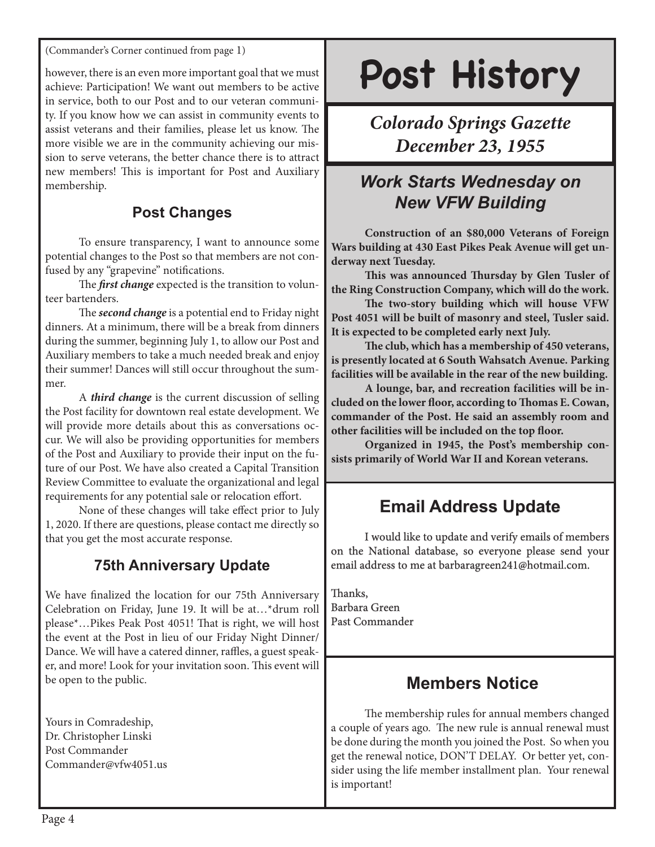(Commander's Corner continued from page 1)

however, there is an even more important goal that we must achieve: Participation! We want out members to be active in service, both to our Post and to our veteran community. If you know how we can assist in community events to assist veterans and their families, please let us know. The more visible we are in the community achieving our mission to serve veterans, the better chance there is to attract new members! This is important for Post and Auxiliary membership.

#### **Post Changes**

To ensure transparency, I want to announce some potential changes to the Post so that members are not confused by any "grapevine" notifications.

The *first change* expected is the transition to volunteer bartenders.

The *second change* is a potential end to Friday night dinners. At a minimum, there will be a break from dinners during the summer, beginning July 1, to allow our Post and Auxiliary members to take a much needed break and enjoy their summer! Dances will still occur throughout the summer.

A *third change* is the current discussion of selling the Post facility for downtown real estate development. We will provide more details about this as conversations occur. We will also be providing opportunities for members of the Post and Auxiliary to provide their input on the future of our Post. We have also created a Capital Transition Review Committee to evaluate the organizational and legal requirements for any potential sale or relocation effort.

None of these changes will take effect prior to July 1, 2020. If there are questions, please contact me directly so that you get the most accurate response.

#### **75th Anniversary Update**

We have finalized the location for our 75th Anniversary Celebration on Friday, June 19. It will be at…\*drum roll please\*…Pikes Peak Post 4051! That is right, we will host the event at the Post in lieu of our Friday Night Dinner/ Dance. We will have a catered dinner, raffles, a guest speaker, and more! Look for your invitation soon. This event will be open to the public.

Yours in Comradeship, Dr. Christopher Linski Post Commander Commander@vfw4051.us

# **Post History**

## *Colorado Springs Gazette December 23, 1955*

## *Work Starts Wednesday on New VFW Building*

**Construction of an \$80,000 Veterans of Foreign Wars building at 430 East Pikes Peak Avenue will get underway next Tuesday.**

**This was announced Thursday by Glen Tusler of the Ring Construction Company, which will do the work.** 

**The two-story building which will house VFW Post 4051 will be built of masonry and steel, Tusler said. It is expected to be completed early next July.** 

**The club, which has a membership of 450 veterans, is presently located at 6 South Wahsatch Avenue. Parking facilities will be available in the rear of the new building.**

**A lounge, bar, and recreation facilities will be included on the lower floor, according to Thomas E. Cowan, commander of the Post. He said an assembly room and other facilities will be included on the top floor.**

**Organized in 1945, the Post's membership consists primarily of World War II and Korean veterans.**

## **Email Address Update**

I would like to update and verify emails of members on the National database, so everyone please send your email address to me at barbaragreen241@hotmail.com.

Thanks, Barbara Green Past Commander

#### **Members Notice**

The membership rules for annual members changed a couple of years ago. The new rule is annual renewal must be done during the month you joined the Post. So when you get the renewal notice, DON'T DELAY. Or better yet, consider using the life member installment plan. Your renewal is important!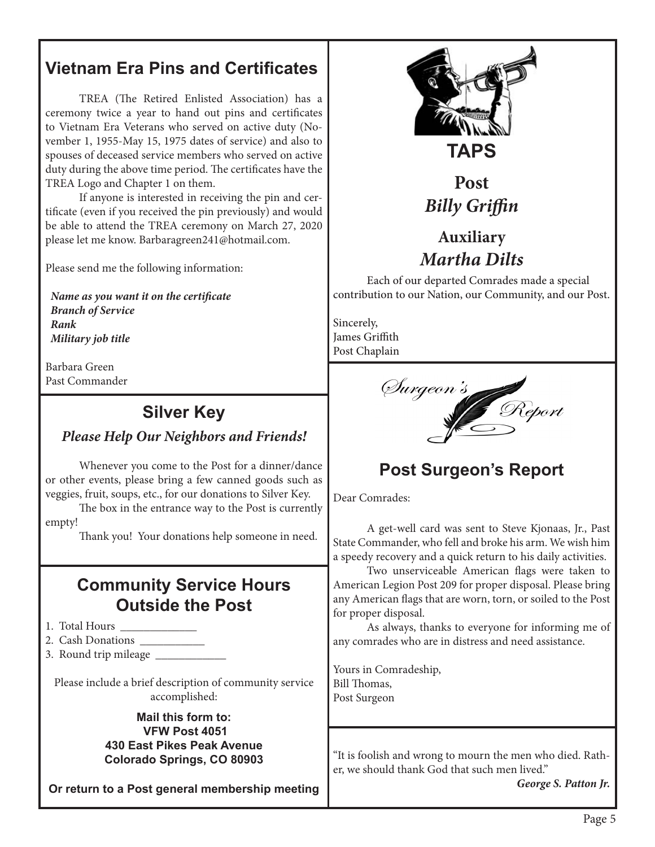## **Vietnam Era Pins and Certificates**

TREA (The Retired Enlisted Association) has a ceremony twice a year to hand out pins and certificates to Vietnam Era Veterans who served on active duty (November 1, 1955-May 15, 1975 dates of service) and also to spouses of deceased service members who served on active duty during the above time period. The certificates have the TREA Logo and Chapter 1 on them.

If anyone is interested in receiving the pin and certificate (even if you received the pin previously) and would be able to attend the TREA ceremony on March 27, 2020 please let me know. Barbaragreen241@hotmail.com.

Please send me the following information:

 *Name as you want it on the certificate Branch of Service Rank Military job title*

Barbara Green Past Commander

### **Silver Key**

#### *Please Help Our Neighbors and Friends!*

Whenever you come to the Post for a dinner/dance or other events, please bring a few canned goods such as veggies, fruit, soups, etc., for our donations to Silver Key.

The box in the entrance way to the Post is currently empty!

Thank you! Your donations help someone in need.

#### **Community Service Hours Outside the Post**

- 1. Total Hours
- 2. Cash Donations \_\_\_\_\_\_\_\_\_\_\_
- 3. Round trip mileage \_\_\_\_\_\_\_\_\_\_\_\_

Please include a brief description of community service accomplished:

> **Mail this form to: VFW Post 4051 430 East Pikes Peak Avenue Colorado Springs, CO 80903**

**Or return to a Post general membership meeting**



**TAPS**

## **Post**  *Billy Griffin*

## **Auxiliary** *Martha Dilts*

Each of our departed Comrades made a special contribution to our Nation, our Community, and our Post.

Sincerely, James Griffith Post Chaplain



## **Post Surgeon's Report**

Dear Comrades:

A get-well card was sent to Steve Kjonaas, Jr., Past State Commander, who fell and broke his arm. We wish him a speedy recovery and a quick return to his daily activities.

Two unserviceable American flags were taken to American Legion Post 209 for proper disposal. Please bring any American flags that are worn, torn, or soiled to the Post for proper disposal.

As always, thanks to everyone for informing me of any comrades who are in distress and need assistance.

Yours in Comradeship, Bill Thomas, Post Surgeon

"It is foolish and wrong to mourn the men who died. Rather, we should thank God that such men lived."

*George S. Patton Jr.*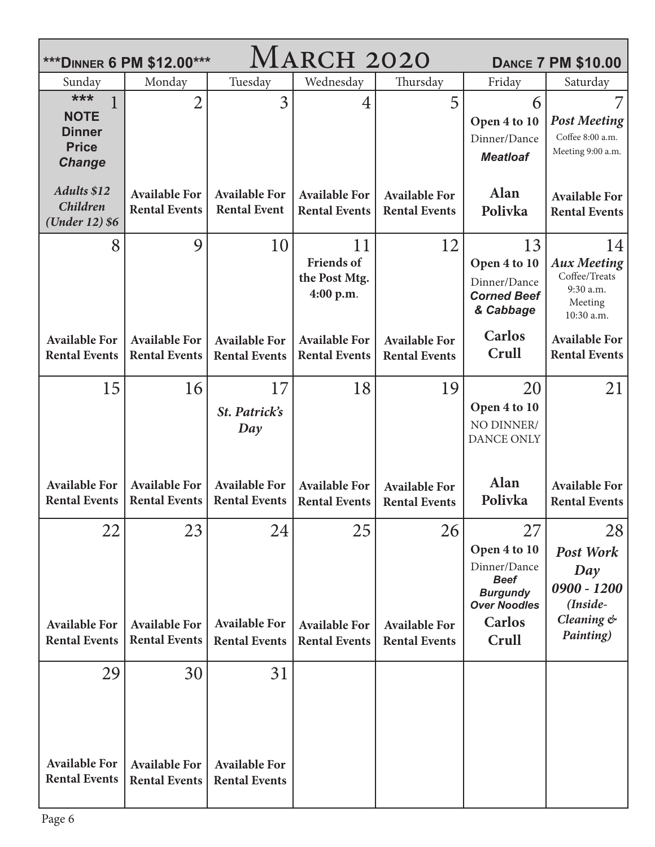| AARCH 2020<br>*** DINNER 6 PM \$12.00***<br><b>DANCE 7 PM \$10.00</b> |                                                    |                                                    |                                                       |                                                    |                                                                                                                       |                                                                                       |  |
|-----------------------------------------------------------------------|----------------------------------------------------|----------------------------------------------------|-------------------------------------------------------|----------------------------------------------------|-----------------------------------------------------------------------------------------------------------------------|---------------------------------------------------------------------------------------|--|
| Sunday                                                                | Monday                                             | Tuesday                                            | Wednesday                                             | Thursday                                           | Friday                                                                                                                | Saturday                                                                              |  |
| ***<br><b>NOTE</b><br><b>Dinner</b><br><b>Price</b><br><b>Change</b>  | $\overline{2}$                                     | 3                                                  | 4                                                     | 5                                                  | 6<br>Open 4 to 10<br>Dinner/Dance<br><b>Meatloaf</b>                                                                  | <b>Post Meeting</b><br>Coffee 8:00 a.m.<br>Meeting 9:00 a.m.                          |  |
| <b>Adults \$12</b><br><b>Children</b><br>(Under 12) \$6               | <b>Available For</b><br><b>Rental Events</b>       | <b>Available For</b><br><b>Rental Event</b>        | <b>Available For</b><br><b>Rental Events</b>          | <b>Available For</b><br><b>Rental Events</b>       | Alan<br>Polivka                                                                                                       | <b>Available For</b><br><b>Rental Events</b>                                          |  |
| 8                                                                     | 9                                                  | 10                                                 | 11<br><b>Friends of</b><br>the Post Mtg.<br>4:00 p.m. | 12                                                 | 13<br>Open 4 to 10<br>Dinner/Dance<br><b>Corned Beef</b><br>& Cabbage                                                 | 14<br><b>Aux Meeting</b><br>Coffee/Treats<br>9:30 a.m.<br>Meeting<br>10:30 a.m.       |  |
| <b>Available For</b><br><b>Rental Events</b>                          | <b>Available For</b><br><b>Rental Events</b>       | <b>Available For</b><br><b>Rental Events</b>       | <b>Available For</b><br><b>Rental Events</b>          | <b>Available For</b><br><b>Rental Events</b>       | <b>Carlos</b><br>Crull                                                                                                | <b>Available For</b><br><b>Rental Events</b>                                          |  |
| 15                                                                    | 16                                                 | 17<br>St. Patrick's<br>Day                         | 18                                                    | 19                                                 | 20<br>Open 4 to 10<br>NO DINNER/<br><b>DANCE ONLY</b>                                                                 | 21                                                                                    |  |
| <b>Available For</b><br><b>Rental Events</b>                          | <b>Available For</b><br><b>Rental Events</b>       | <b>Available For</b><br><b>Rental Events</b>       | <b>Available For</b><br><b>Rental Events</b>          | <b>Available For</b><br><b>Rental Events</b>       | Alan<br>Polivka                                                                                                       | <b>Available For</b><br><b>Rental Events</b>                                          |  |
| 22<br><b>Available For</b><br><b>Rental Events</b>                    | 23<br><b>Available For</b><br><b>Rental Events</b> | 24<br><b>Available For</b><br><b>Rental Events</b> | 25<br><b>Available For</b><br><b>Rental Events</b>    | 26<br><b>Available For</b><br><b>Rental Events</b> | 27<br>Open 4 to 10<br>Dinner/Dance<br><b>Beef</b><br><b>Burgundy</b><br><b>Over Noodles</b><br><b>Carlos</b><br>Crull | 28<br><b>Post Work</b><br>Day<br>$0900 - 1200$<br>(Inside-<br>Cleaning &<br>Painting) |  |
| 29<br><b>Available For</b><br><b>Rental Events</b>                    | 30<br><b>Available For</b><br><b>Rental Events</b> | 31<br><b>Available For</b><br><b>Rental Events</b> |                                                       |                                                    |                                                                                                                       |                                                                                       |  |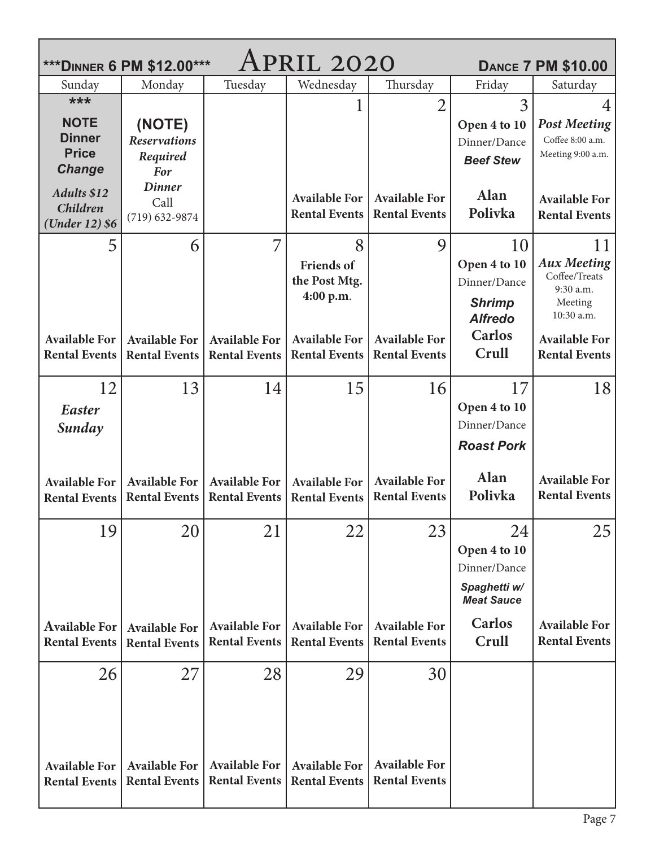| APRIL 2020<br>*** DINNER 6 PM \$12.00***<br><b>DANCE 7 PM \$10.00</b> |                                              |                                              |                                              |                                              |                                   |                                              |  |  |  |
|-----------------------------------------------------------------------|----------------------------------------------|----------------------------------------------|----------------------------------------------|----------------------------------------------|-----------------------------------|----------------------------------------------|--|--|--|
| Sunday                                                                | Monday                                       | Tuesday                                      | Wednesday                                    | Thursday                                     | Friday                            | Saturday                                     |  |  |  |
| ***                                                                   |                                              |                                              |                                              | $\overline{2}$                               | 3                                 | 4                                            |  |  |  |
| <b>NOTE</b>                                                           | (NOTE)                                       |                                              |                                              |                                              | Open 4 to 10                      | <b>Post Meeting</b>                          |  |  |  |
| <b>Dinner</b>                                                         | <b>Reservations</b>                          |                                              |                                              |                                              | Dinner/Dance                      | Coffee 8:00 a.m.                             |  |  |  |
| <b>Price</b>                                                          | Required                                     |                                              |                                              |                                              | <b>Beef Stew</b>                  | Meeting 9:00 a.m.                            |  |  |  |
| <b>Change</b>                                                         | <b>For</b><br><b>Dinner</b>                  |                                              |                                              |                                              |                                   |                                              |  |  |  |
| <b>Adults \$12</b>                                                    | Call                                         |                                              | <b>Available For</b>                         | <b>Available For</b>                         | <b>Alan</b>                       | <b>Available For</b>                         |  |  |  |
| <b>Children</b><br>(Under 12) \$6                                     | $(719) 632 - 9874$                           |                                              | <b>Rental Events</b>                         | <b>Rental Events</b>                         | Polivka                           | <b>Rental Events</b>                         |  |  |  |
| 5                                                                     | 6                                            | 7                                            | 8                                            | 9                                            | 10                                |                                              |  |  |  |
|                                                                       |                                              |                                              |                                              |                                              | Open 4 to 10                      | 11<br><b>Aux Meeting</b>                     |  |  |  |
|                                                                       |                                              |                                              | <b>Friends of</b><br>the Post Mtg.           |                                              | Dinner/Dance                      | Coffee/Treats                                |  |  |  |
|                                                                       |                                              |                                              | 4:00 p.m.                                    |                                              |                                   | 9:30 a.m.                                    |  |  |  |
|                                                                       |                                              |                                              |                                              |                                              | <b>Shrimp</b><br><b>Alfredo</b>   | Meeting<br>10:30 a.m.                        |  |  |  |
| <b>Available For</b>                                                  | <b>Available For</b>                         | <b>Available For</b>                         | <b>Available For</b>                         | <b>Available For</b>                         | <b>Carlos</b>                     | <b>Available For</b>                         |  |  |  |
| <b>Rental Events</b>                                                  | <b>Rental Events</b>                         | <b>Rental Events</b>                         | <b>Rental Events</b>                         | <b>Rental Events</b>                         | Crull                             | <b>Rental Events</b>                         |  |  |  |
|                                                                       |                                              |                                              |                                              |                                              |                                   |                                              |  |  |  |
| 12                                                                    | 13                                           | 14                                           | 15                                           | 16                                           | 17                                | 18                                           |  |  |  |
| Easter                                                                |                                              |                                              |                                              |                                              | Open 4 to 10                      |                                              |  |  |  |
| Sunday                                                                |                                              |                                              |                                              |                                              | Dinner/Dance                      |                                              |  |  |  |
|                                                                       |                                              |                                              |                                              |                                              | <b>Roast Pork</b>                 |                                              |  |  |  |
|                                                                       |                                              |                                              |                                              |                                              | <b>Alan</b>                       |                                              |  |  |  |
| <b>Available For</b>                                                  | <b>Available For</b><br><b>Rental Events</b> | <b>Available For</b><br><b>Rental Events</b> | <b>Available For</b><br><b>Rental Events</b> | <b>Available For</b><br><b>Rental Events</b> | Polivka                           | <b>Available For</b><br><b>Rental Events</b> |  |  |  |
| <b>Rental Events</b>                                                  |                                              |                                              |                                              |                                              |                                   |                                              |  |  |  |
| 19                                                                    | 20                                           | 21                                           | 22                                           | 23                                           | 24                                | 25                                           |  |  |  |
|                                                                       |                                              |                                              |                                              |                                              | Open 4 to 10                      |                                              |  |  |  |
|                                                                       |                                              |                                              |                                              |                                              | Dinner/Dance                      |                                              |  |  |  |
|                                                                       |                                              |                                              |                                              |                                              | Spaghetti w/<br><b>Meat Sauce</b> |                                              |  |  |  |
| <b>Available For</b>                                                  | <b>Available For</b>                         | <b>Available For</b>                         | <b>Available For</b>                         | <b>Available For</b>                         | <b>Carlos</b>                     | <b>Available For</b>                         |  |  |  |
| <b>Rental Events</b>                                                  | <b>Rental Events</b>                         | <b>Rental Events</b>                         | <b>Rental Events</b>                         | <b>Rental Events</b>                         | Crull                             | <b>Rental Events</b>                         |  |  |  |
| 26                                                                    | 27                                           | 28                                           | 29                                           | 30                                           |                                   |                                              |  |  |  |
|                                                                       |                                              |                                              |                                              |                                              |                                   |                                              |  |  |  |
|                                                                       |                                              |                                              |                                              |                                              |                                   |                                              |  |  |  |
|                                                                       |                                              |                                              |                                              |                                              |                                   |                                              |  |  |  |
|                                                                       |                                              |                                              |                                              |                                              |                                   |                                              |  |  |  |
| <b>Available For</b><br><b>Rental Events</b>                          | <b>Available For</b><br><b>Rental Events</b> | <b>Available For</b><br><b>Rental Events</b> | <b>Available For</b><br><b>Rental Events</b> | <b>Available For</b><br><b>Rental Events</b> |                                   |                                              |  |  |  |
|                                                                       |                                              |                                              |                                              |                                              |                                   |                                              |  |  |  |